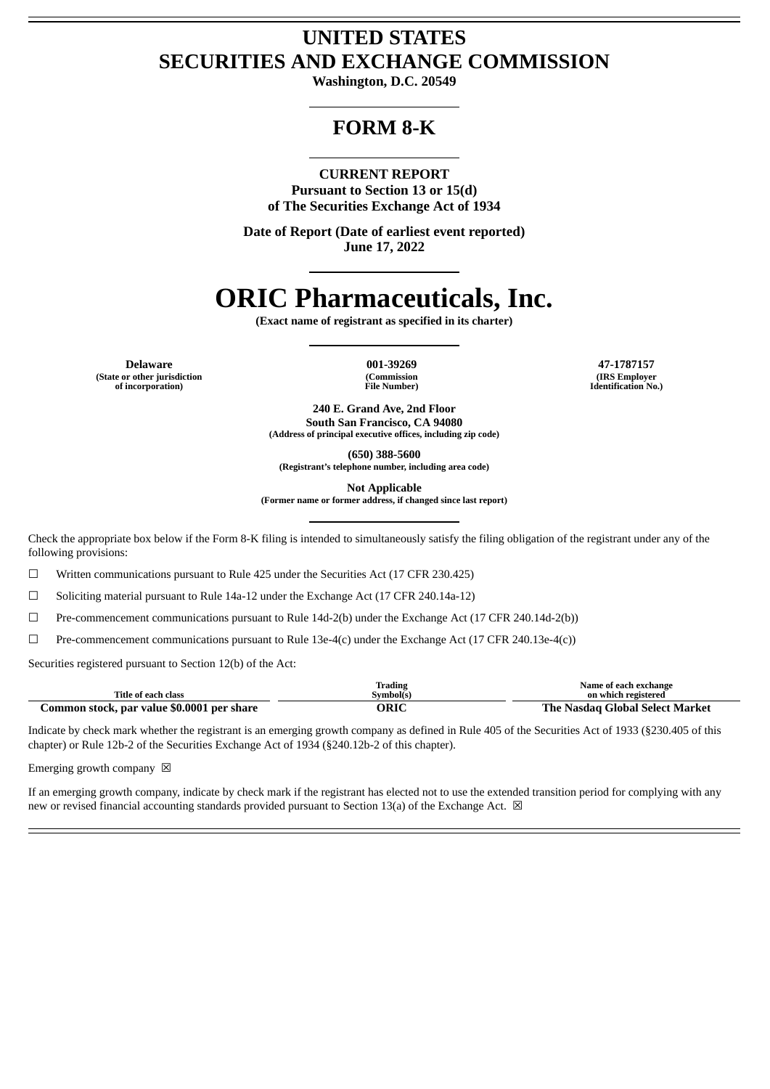## **UNITED STATES SECURITIES AND EXCHANGE COMMISSION**

**Washington, D.C. 20549**

### **FORM 8-K**

**CURRENT REPORT Pursuant to Section 13 or 15(d)**

**of The Securities Exchange Act of 1934**

**Date of Report (Date of earliest event reported) June 17, 2022**

# **ORIC Pharmaceuticals, Inc.**

**(Exact name of registrant as specified in its charter)**

**Delaware 001-39269 47-1787157 (State or other jurisdiction of incorporation)**

**(Commission File Number)**

**(IRS Employer Identification No.)**

**240 E. Grand Ave, 2nd Floor South San Francisco, CA 94080 (Address of principal executive offices, including zip code)**

**(650) 388-5600**

**(Registrant's telephone number, including area code)**

**Not Applicable**

**(Former name or former address, if changed since last report)**

Check the appropriate box below if the Form 8-K filing is intended to simultaneously satisfy the filing obligation of the registrant under any of the following provisions:

 $\Box$  Written communications pursuant to Rule 425 under the Securities Act (17 CFR 230.425)

☐ Soliciting material pursuant to Rule 14a-12 under the Exchange Act (17 CFR 240.14a-12)

☐ Pre-commencement communications pursuant to Rule 14d-2(b) under the Exchange Act (17 CFR 240.14d-2(b))

☐ Pre-commencement communications pursuant to Rule 13e-4(c) under the Exchange Act (17 CFR 240.13e-4(c))

Securities registered pursuant to Section 12(b) of the Act:

|                                                 | trading     | Name of each exchange                      |
|-------------------------------------------------|-------------|--------------------------------------------|
| <b>Title of each class</b>                      | Symbol(s)   | on which registered                        |
| Common stock, par value \$0.0001<br>. per share | <b>DRIC</b> | l Select Market<br>The<br>Global<br>Aasdac |

Indicate by check mark whether the registrant is an emerging growth company as defined in Rule 405 of the Securities Act of 1933 (§230.405 of this chapter) or Rule 12b-2 of the Securities Exchange Act of 1934 (§240.12b-2 of this chapter).

Emerging growth company  $\boxtimes$ 

If an emerging growth company, indicate by check mark if the registrant has elected not to use the extended transition period for complying with any new or revised financial accounting standards provided pursuant to Section 13(a) of the Exchange Act.  $\boxtimes$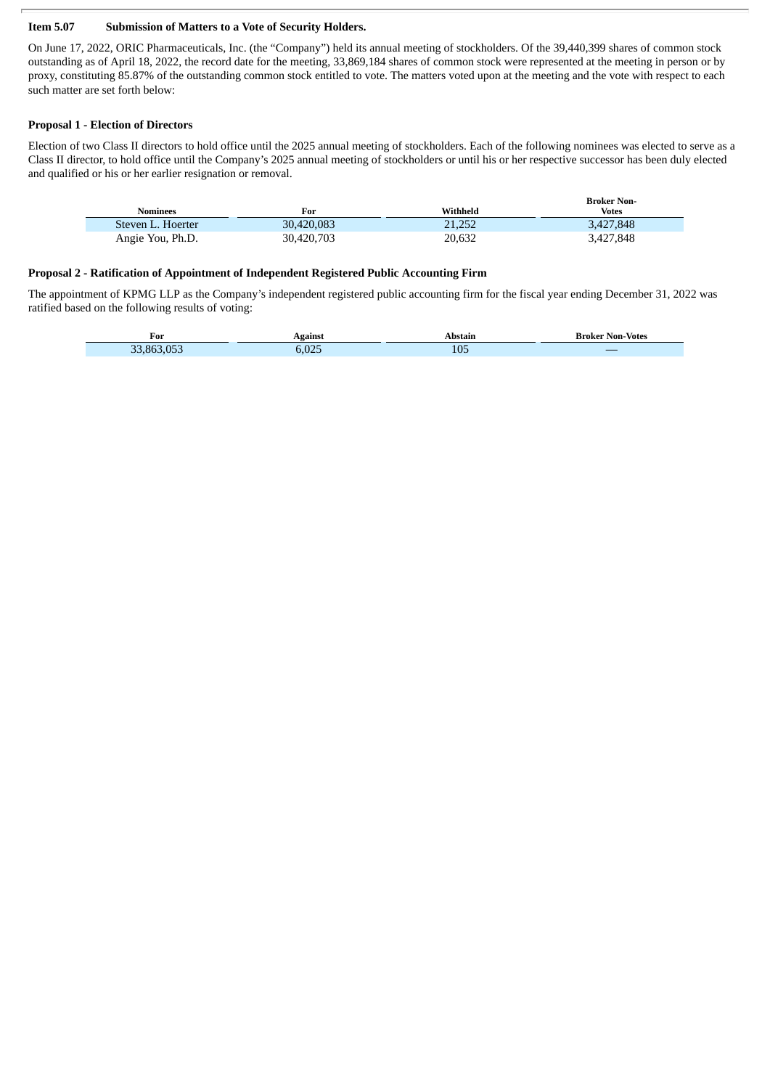#### **Item 5.07 Submission of Matters to a Vote of Security Holders.**

On June 17, 2022, ORIC Pharmaceuticals, Inc. (the "Company") held its annual meeting of stockholders. Of the 39,440,399 shares of common stock outstanding as of April 18, 2022, the record date for the meeting, 33,869,184 shares of common stock were represented at the meeting in person or by proxy, constituting 85.87% of the outstanding common stock entitled to vote. The matters voted upon at the meeting and the vote with respect to each such matter are set forth below:

#### **Proposal 1 - Election of Directors**

T.

Election of two Class II directors to hold office until the 2025 annual meeting of stockholders. Each of the following nominees was elected to serve as a Class II director, to hold office until the Company's 2025 annual meeting of stockholders or until his or her respective successor has been duly elected and qualified or his or her earlier resignation or removal.

| <b>Nominees</b>   | For        | Withheld | <b>Broker Non-</b><br>Votes |
|-------------------|------------|----------|-----------------------------|
| Steven L. Hoerter | 30.420.083 | 21.252   | 3,427,848                   |
| Angie You, Ph.D.  | 30,420,703 | 20,632   | 3,427,848                   |

#### **Proposal 2 - Ratification of Appointment of Independent Registered Public Accounting Firm**

The appointment of KPMG LLP as the Company's independent registered public accounting firm for the fiscal year ending December 31, 2022 was ratified based on the following results of voting:

| For<br>____                   | \gainst<br>__ | Abstain<br>. | Non-Votes<br>Broker<br>- - - - |
|-------------------------------|---------------|--------------|--------------------------------|
| 053<br>863<br>33 <sub>1</sub> | 0.05<br>.UZ5  | 105          |                                |